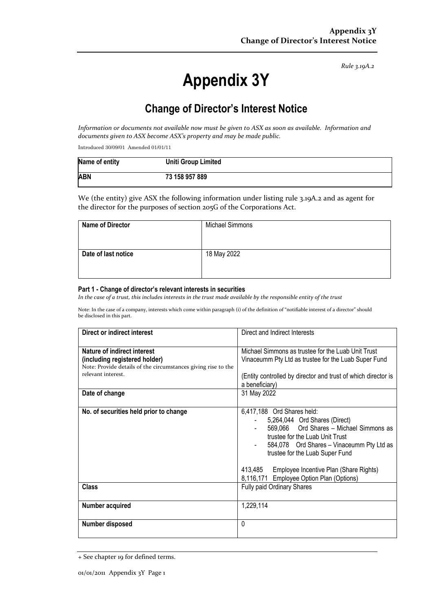*Rule 3.19A.2*

# **Appendix 3Y**

# **Change of Director's Interest Notice**

Information or documents not available now must be given to ASX as soon as available. Information and *documents given to ASX become ASX's property and may be made public.*

Introduced 30/09/01 Amended 01/01/11

| Name of entity | <b>Uniti Group Limited</b> |
|----------------|----------------------------|
| <b>ABN</b>     | 73 158 957 889             |

We (the entity) give ASX the following information under listing rule 3.19A.2 and as agent for the director for the purposes of section 205G of the Corporations Act.

| <b>Name of Director</b> | Michael Simmons |
|-------------------------|-----------------|
| Date of last notice     | 18 May 2022     |

#### **Part 1 - Change of director's relevant interests in securities**

In the case of a trust, this includes interests in the trust made available by the responsible entity of the trust

Note: In the case of a company, interests which come within paragraph (i) of the definition of "notifiable interest of a director" should be disclosed in this part.

| Direct or indirect interest                                                                                                                                           | Direct and Indirect Interests                                                                                                                                                                                             |  |
|-----------------------------------------------------------------------------------------------------------------------------------------------------------------------|---------------------------------------------------------------------------------------------------------------------------------------------------------------------------------------------------------------------------|--|
| Nature of indirect interest<br>(including registered holder)<br>Note: Provide details of the circumstances giving rise to the<br>relevant interest.<br>Date of change | Michael Simmons as trustee for the Luab Unit Trust<br>Vinaceumm Pty Ltd as trustee for the Luab Super Fund<br>(Entity controlled by director and trust of which director is<br>a beneficiary)<br>31 May 2022              |  |
| No. of securities held prior to change                                                                                                                                | 6,417,188 Ord Shares held:<br>5,264,044 Ord Shares (Direct)<br>569,066 Ord Shares - Michael Simmons as<br>trustee for the Luab Unit Trust<br>584,078 Ord Shares - Vinaceumm Pty Ltd as<br>trustee for the Luab Super Fund |  |
| Class                                                                                                                                                                 | 413,485<br>Employee Incentive Plan (Share Rights)<br>8,116,171 Employee Option Plan (Options)                                                                                                                             |  |
|                                                                                                                                                                       | Fully paid Ordinary Shares                                                                                                                                                                                                |  |
| Number acquired                                                                                                                                                       | 1,229,114                                                                                                                                                                                                                 |  |
| Number disposed                                                                                                                                                       | $\Omega$                                                                                                                                                                                                                  |  |

<sup>+</sup> See chapter 19 for defined terms.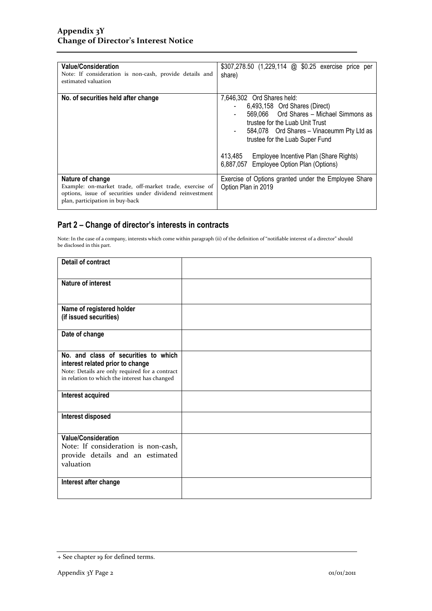| <b>Value/Consideration</b><br>Note: If consideration is non-cash, provide details and<br>estimated valuation                                                               | \$307,278.50 (1,229,114 @ \$0.25 exercise price per<br>share)                                                                                                                                                                                                                                                                             |
|----------------------------------------------------------------------------------------------------------------------------------------------------------------------------|-------------------------------------------------------------------------------------------------------------------------------------------------------------------------------------------------------------------------------------------------------------------------------------------------------------------------------------------|
| No. of securities held after change                                                                                                                                        | 7,646,302 Ord Shares held:<br>6,493,158 Ord Shares (Direct)<br>569,066 Ord Shares - Michael Simmons as<br>trustee for the Luab Unit Trust<br>584,078 Ord Shares - Vinaceumm Pty Ltd as<br>$\blacksquare$<br>trustee for the Luab Super Fund<br>413,485 Employee Incentive Plan (Share Rights)<br>6,887,057 Employee Option Plan (Options) |
| Nature of change<br>Example: on-market trade, off-market trade, exercise of<br>options, issue of securities under dividend reinvestment<br>plan, participation in buy-back | Exercise of Options granted under the Employee Share<br>Option Plan in 2019                                                                                                                                                                                                                                                               |

### **Part 2 – Change of director's interests in contracts**

Note: In the case of a company, interests which come within paragraph (ii) of the definition of "notifiable interest of a director" should be disclosed in this part.

| <b>Detail of contract</b>                      |  |
|------------------------------------------------|--|
| <b>Nature of interest</b>                      |  |
|                                                |  |
| Name of registered holder                      |  |
| (if issued securities)                         |  |
| Date of change                                 |  |
|                                                |  |
| No. and class of securities to which           |  |
| interest related prior to change               |  |
| Note: Details are only required for a contract |  |
| in relation to which the interest has changed  |  |
| Interest acquired                              |  |
|                                                |  |
| Interest disposed                              |  |
|                                                |  |
| <b>Value/Consideration</b>                     |  |
| Note: If consideration is non-cash,            |  |
| provide details and an estimated               |  |
| valuation                                      |  |
|                                                |  |
| Interest after change                          |  |
|                                                |  |
|                                                |  |

<sup>+</sup> See chapter 19 for defined terms.